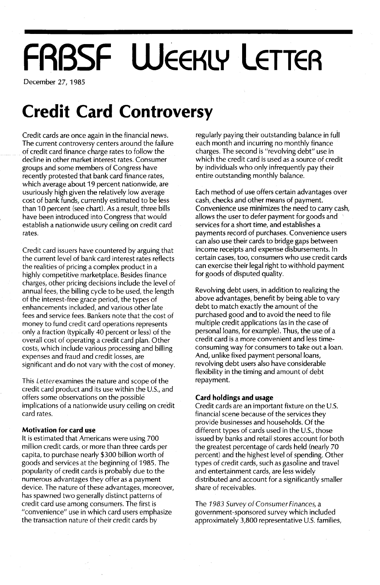# **FRBSF WEEKLY LETTER**

December 27, 1985

### **Credit Card Controversy**

Credit cards are once again in the financial news. The current controversy centers around the failure of credit card finance charge rates to follow the decline in other market interest rates. Consumer groups and some members of Congress have recently protested that bank card finance rates, which average about 19 percent nationwide, are usuriously high given the relatively low average cost of bank funds, currently estimated to be less than 10 percent (see chart). As a result, three bills have been introduced into Congress that would establish a nationwide usury ceiling on credit card rates.

Credit card issuers have countered by arguing that the current level of bank card interest rates reflects the realities of pricing a complex product in a highly competitive marketplace. Besides finance charges, other pricing decisions include the level of annual fees, the billing cycle to be used, the length of the interest-free grace period, the types of enhancements included, and various other late fees and service fees. Bankers note that the cost of money to fund credit card operations represents only a fraction (typically 40 percent or less) of the overall cost of operating a credit card plan. Other costs, which include various processing and billing expenses and fraud and credit losses, are significant and do not vary with the cost of money.

This Letterexamines the nature and scope of the credit card product and its use within the U.S., and offers some observations on the possible implications of a nationwide usury ceiling on credit card rates.

#### **Motivation for card use**

It is estimated that Americans were using 700 million credit cards, or more than three cards per capita, to purchase nearly \$300 billion worth of goods and services at the beginning of 1985. The popularity of credit cards is probably due to the numerous advantages they offer as a payment device. The nature of these advantages, moreover, has spawned two generally distinct patterns of credit card use among consumers. The first is "convenience" use in which card users emphasize the transaction nature of their credit cards by

regularly paying their outstanding balance in fuil each month and incurring no monthly finance charges. The second is "revolving debt" use in which the credit card is used as a source of credit by individuals who only infrequently pay their entire outstanding monthly balance.

Each method of use offers certain advantages over cash, checks and other means of payment. Convenience use minimizes the need to carry cash, allows the user to defer payment for goods and services for a short time, and establishes a payments record of purchases. Convenience users can also use their cards to bridge gaps between income receipts and expense disbursements. In certain cases, too, consumers who use credit cards can exercise their legal right to withhold payment for goods of disputed quality.

Revolving debt users, in addition to realizing the above advantages, benefit by being able to vary debt to match exactly the amount of the purchased good and to avoid the need to file multiple credit applications (as in the case of personal loans, for example). Thus, the use of a credit card is a more convenient and less timeconsuming way for consumers to take out a loan. And, unlike fixed payment personal loans, revolving debt users also have considerable flexibility in the timing and amount of debt repayment.

#### **Card holdings and usage**

Credit cards are an important fixture on the U.S. financial scene because of the services they provide businesses and households. Of the different types of cards used in the U.s., those issued by banks and retail stores account for both the greatest percentage of cards held (nearly 70 percent) and the highest level of spending. Other types of credit cards, such as gasoline and travel and entertainment cards, are less widely distributed and account for a significantly smaller share of receivables.

The 1983 *Survey* of *Consumer Finances,* a government-sponsored survey which included approximately 3,800 representative U.s. families,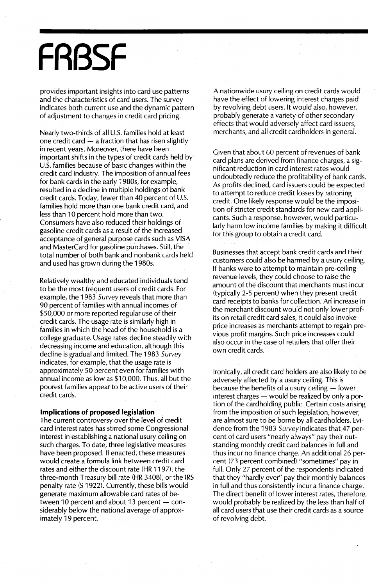## **FRBSF**

provides important insights into card use patterns and the characteristics of card users. The survey indicates both current use and the dynamic pattern of adjustment to changes in credit card pricing.

Nearly two-thirds of all U.S. families hold at least one credit card  $-$  a fraction that has risen slightly in recent years. Moreover, there have been important shifts in the types of credit cards held by U.S. families because of basic changes within the credit card industry. The imposition of annual fees for bank cards in the early 1980s, for example, resulted in a decline in multiple holdings of bank credit cards. Today, fewer than 40 percent of U.s. families hold more than one bank credit card, and less than 10 percent hold more than two. Consumers have also reduced their holdings of gasoline credit cards as a result of the increased acceptance of general purpose cards such as VISA and MasterCard for gasoline purchases. Still, the total number of both bank and nonbank cards held and used has grown during the 1980s.

Relatively wealthy and educated individuals tend to be the most frequent users of credit cards. For example, the 1983 Survey reveals that more than 90 percent of families with annual incomes of \$50,000 or more reported regular use of their credit cards. The usage rate is similarly high in families in which the head of the household is a college graduate. Usage rates decline steadily with decreasing income and education, although this decline is gradual and limited. The 1983 Survey indicates, for example, that the usage rate is approximately 50 percent even for families with annual income as low as \$10,000. Thus, all but the poorest families appear to be active users of their credit cards.

#### **Implications of proposed legislation**

The current controversy over the level of credit card interest rates has stirred some Congressional interest in establishing a national usury ceiling on such charges. To date, three legislative measures have been proposed. If enacted, these measures would create a formula link between credit card rates and either the discount rate (HR 1197), the three-month Treasury bill rate (HR 3408), or the IRS penalty rate (S 1922). Currently, these bills would generate maximum allowable card rates of between 10 percent and about 13 percent  $-$  considerably below the national average of approximately 19 percent.

A nationwide usury ceiling on credit cards would have the effect of lowering interest charges paid by revolving debt users. It would also, however, probably generate a variety of other secondary effects that would adversely affect card issuers, merchants, and all credit cardholders in general.

Given that about 60 percent of revenues of bank card plans are derived from finance charges, a significant reduction in card interest rates would undoubtedly reduce the profitability of bank cards. As profits declined, card issuers could be expected to attempt to reduce credit losses by rationing credit. One likely response would be the imposition of stricter credit standards for new card applicants. Such a response, however, would particularly harm low income families by making it difficult for this group to obtain a credit card.

Businesses that accept bank credit cards and their customers could also be harmed by a usury ceiling. If banks were to attempt to maintain pre-ceiling revenue levels, they could choose to raise the amount of the discount that merchants must incur (typically 2-5 percent) when they present credit card receipts to banks for collection. Ari increase in the merchant discount would not only lower profits on retail credit card sales, it could also invoke price increases as merchants attempt to regain previous profit margins. Such price increases could also occur in the case of retailers that offer their own credit cards.

Ironically, all credit card holders are also likely to be adversely affected by a usury ceiling. This is because the benefits of a usury ceiling  $-$  lower interest charges  $-$  would be realized by only a portion of the cardholding public. Certain costs arising from the imposition of such legislation, however, are almost sure to be borne by all cardholders. Evidence from the 1983 Survey indicates that 47 percent of card users "nearly always" pay their outstanding monthly credit card balances in full and thus incur no finance charge. An additional 26 percent (73 percent combined) "sometimes" pay in full. Only 27 percent of the respondents indicated that they "hardly ever" pay their monthly balances in full and thus consistently incur a finance charge. The direct benefit of lower interest rates, therefore, would probably be realized by the less than half of all card users that use their credit cards as a source of revolving debt.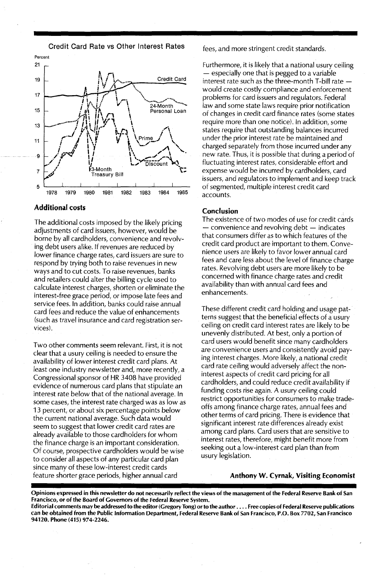Credit Card Rate vs Other Interest Rates



#### Additional costs

The additional costs imposed by the likely pricing adjustments of card issuers, however, would be borne by all cardholders, convenience and revolving debt users alike. If revenues are reduced by lower finance charge rates, card issuers are sure to respond by trying both to raise revenues in new ways and to cut costs. To raise revenues, banks and retailers could alter the billing cycle used to calculate interest charges, shorten or eliminate the interest-free grace period, or impose late fees and service fees. In addition, banks could raise annual card fees and reduce the value of enhancements (such as travel insurance and card registration services).

Two other comments seem relevant. First, it is not clear that a usury ceiling is needed to ensure the availability of lower interest credit card plans. At least one industry newsletter and, more recently, a Congressional sponsor of HR 3408 have provided evidence of numerous card plans that stipulate an interest rate below that of the national average. In some cases, the interest rate charged was as low as 13 percent, or about six percentage points below the current national average. Such data would seem to suggest that lower credit card rates are already available to those cardholders for whom the finance charge is an important consideration. Of course, prospective cardholders would be wise to consider all aspects of any particular card plan since many of these low-interest credit cards feature shorter grace periods, higher annual card

fees, and more stringent credit standards.

Furthermore, it is likely that a national usury ceiling - especially one that is pegged to a variable interest rate such as the three-month T-bill rate  $$ would create costly compliance and enforcement problems for card issuers and regulators. Federal law and some state laws require prior notification of changes in credit card finance rates (some states require more than one notice). In addition, some states require that outstanding balances incurred under the prior interest rate be maintained and charged separately from those incurred under any new rate. Thus, it is possible that during a period of fluctuating interest rates, considerable effort and expense would be incurred by cardholders, card issuers, and regulators to implement and keep track of segmented, multiple interest credit card accounts.

#### Conclusion

The existence of two modes of use for credit cards  $-$  convenience and revolving debt  $-$  indicates that consumers differ as to which features of the credit card product are important to them. Convenience users are likely to favor lower annual card fees and care less about the level of finance charge rates. Revolving debt users are more likely to be concerned with finance charge rates and credit availability than with annual card fees and enhancements.

These different credit card holding and usage patterns suggest that the beneficial effects of a usury ceiling on credit card interest rates are likely to be unevenly distributed. At best, only a portion of card users would benefit since many cardholders are convenience users and consistently avoid paying interest charges. More likely, a national credit card rate ceiling would adversely affect the non-Interest aspects of credit card pricing for all cardholders, and could reduce credit availability if funding costs rise again. A usury ceiling could restrict opportunities for consumers to make tradeoffs among finance charge rates, annual fees and other terms of card pricing. There is evidence that significant interest rate differences already exist among card plans. Card users that are sensitive to interest rates, therefore, might benefit more from seeking out a low-interest card plan than from usury legislation.

#### Anthony W. Cyrnak, Visiting Economist

Opinions expressed in this newsletter do not necessarily reflect the views of the management of the Federal Reserve Bank of San Francisco, or of the Board of Governors of the Federal Reserve System.

Editorial comments may be addressed to the editor (Gregory Tong) or to the author .... Free copies of Federal Reserve publications can be obtained from the Public Information Department, Federal Reserve Bank of San Francisco, P.O. Box 7702, San Francisco 94120. Phone (415) 974-2246.